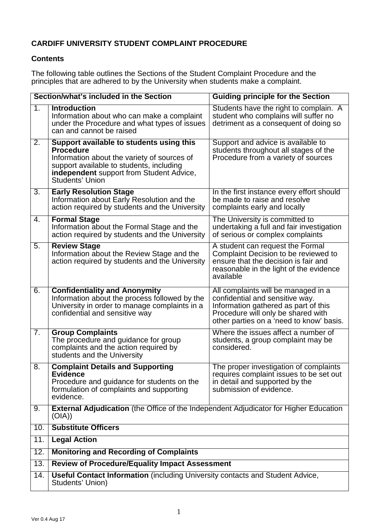# **CARDIFF UNIVERSITY STUDENT COMPLAINT PROCEDURE**

# **Contents**

The following table outlines the Sections of the Student Complaint Procedure and the principles that are adhered to by the University when students make a complaint.

| Section/what's included in the Section |                                                                                                                                                                                                                               | <b>Guiding principle for the Section</b>                                                                                                                                                         |  |
|----------------------------------------|-------------------------------------------------------------------------------------------------------------------------------------------------------------------------------------------------------------------------------|--------------------------------------------------------------------------------------------------------------------------------------------------------------------------------------------------|--|
| 1.                                     | <b>Introduction</b><br>Information about who can make a complaint<br>under the Procedure and what types of issues<br>can and cannot be raised                                                                                 | Students have the right to complain. A<br>student who complains will suffer no<br>detriment as a consequent of doing so                                                                          |  |
| 2.                                     | Support available to students using this<br><b>Procedure</b><br>Information about the variety of sources of<br>support available to students, including<br>independent support from Student Advice,<br><b>Students' Union</b> | Support and advice is available to<br>students throughout all stages of the<br>Procedure from a variety of sources                                                                               |  |
| 3.                                     | <b>Early Resolution Stage</b><br>Information about Early Resolution and the<br>action required by students and the University                                                                                                 | In the first instance every effort should<br>be made to raise and resolve<br>complaints early and locally                                                                                        |  |
| 4.                                     | <b>Formal Stage</b><br>Information about the Formal Stage and the<br>action required by students and the University                                                                                                           | The University is committed to<br>undertaking a full and fair investigation<br>of serious or complex complaints                                                                                  |  |
| 5.                                     | <b>Review Stage</b><br>Information about the Review Stage and the<br>action required by students and the University                                                                                                           | A student can request the Formal<br>Complaint Decision to be reviewed to<br>ensure that the decision is fair and<br>reasonable in the light of the evidence<br>available                         |  |
| 6.                                     | <b>Confidentiality and Anonymity</b><br>Information about the process followed by the<br>University in order to manage complaints in a<br>confidential and sensitive way                                                      | All complaints will be managed in a<br>confidential and sensitive way.<br>Information gathered as part of this<br>Procedure will only be shared with<br>other parties on a 'need to know' basis. |  |
| 7.                                     | <b>Group Complaints</b><br>The procedure and guidance for group<br>complaints and the action required by<br>students and the University                                                                                       | Where the issues affect a number of<br>students, a group complaint may be<br>considered.                                                                                                         |  |
| 8.                                     | <b>Complaint Details and Supporting</b><br><b>Evidence</b><br>Procedure and guidance for students on the<br>formulation of complaints and supporting<br>evidence.                                                             | The proper investigation of complaints<br>requires complaint issues to be set out<br>in detail and supported by the<br>submission of evidence.                                                   |  |
| 9.                                     | <b>External Adjudication</b> (the Office of the Independent Adjudicator for Higher Education<br>(OIA))                                                                                                                        |                                                                                                                                                                                                  |  |
| 10.                                    | <b>Substitute Officers</b>                                                                                                                                                                                                    |                                                                                                                                                                                                  |  |
| 11.                                    | <b>Legal Action</b>                                                                                                                                                                                                           |                                                                                                                                                                                                  |  |
| 12.                                    | <b>Monitoring and Recording of Complaints</b>                                                                                                                                                                                 |                                                                                                                                                                                                  |  |
| 13.                                    | <b>Review of Procedure/Equality Impact Assessment</b>                                                                                                                                                                         |                                                                                                                                                                                                  |  |
| 14.                                    | <b>Useful Contact Information</b> (including University contacts and Student Advice,<br>Students' Union)                                                                                                                      |                                                                                                                                                                                                  |  |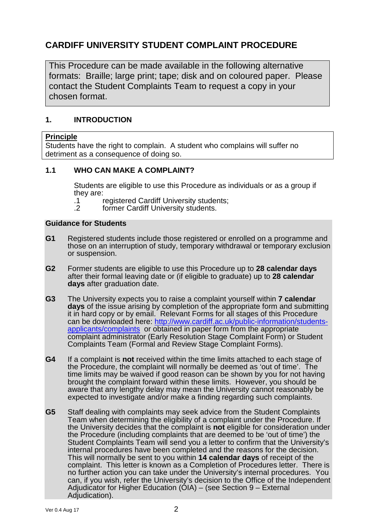# **CARDIFF UNIVERSITY STUDENT COMPLAINT PROCEDURE**

This Procedure can be made available in the following alternative formats: Braille; large print; tape; disk and on coloured paper. Please contact the Student Complaints Team to request a copy in your chosen format.

# **1. INTRODUCTION**

## **Principle**

Students have the right to complain. A student who complains will suffer no detriment as a consequence of doing so.

# **1.1 WHO CAN MAKE A COMPLAINT?**

Students are eligible to use this Procedure as individuals or as a group if they are:

- .1 registered Cardiff University students;
- .2 former Cardiff University students.

## **Guidance for Students**

- **G1** Registered students include those registered or enrolled on a programme and those on an interruption of study, temporary withdrawal or temporary exclusion or suspension.
- **G2** Former students are eligible to use this Procedure up to **28 calendar days** after their formal leaving date or (if eligible to graduate) up to **28 calendar days** after graduation date.
- **G3** The University expects you to raise a complaint yourself within **7 calendar days** of the issue arising by completion of the appropriate form and submitting it in hard copy or by email. Relevant Forms for all stages of this Procedure can be downloaded here: http://www.cardiff.ac.uk/public-information/studentsapplicants/complaints or obtained in paper form from the appropriate complaint administrator (Early Resolution Stage Complaint Form) or Student Complaints Team (Formal and Review Stage Complaint Forms).
- **G4** If a complaint is **not** received within the time limits attached to each stage of the Procedure, the complaint will normally be deemed as 'out of time'. The time limits may be waived if good reason can be shown by you for not having brought the complaint forward within these limits. However, you should be aware that any lengthy delay may mean the University cannot reasonably be expected to investigate and/or make a finding regarding such complaints.
- **G5** Staff dealing with complaints may seek advice from the Student Complaints Team when determining the eligibility of a complaint under the Procedure. If the University decides that the complaint is **not** eligible for consideration under the Procedure (including complaints that are deemed to be 'out of time') the Student Complaints Team will send you a letter to confirm that the University's internal procedures have been completed and the reasons for the decision. This will normally be sent to you within **14 calendar days** of receipt of the complaint. This letter is known as a Completion of Procedures letter. There is no further action you can take under the University's internal procedures. You can, if you wish, refer the University's decision to the Office of the Independent Adjudicator for Higher Education (OIA) – (see Section 9 – External Adjudication).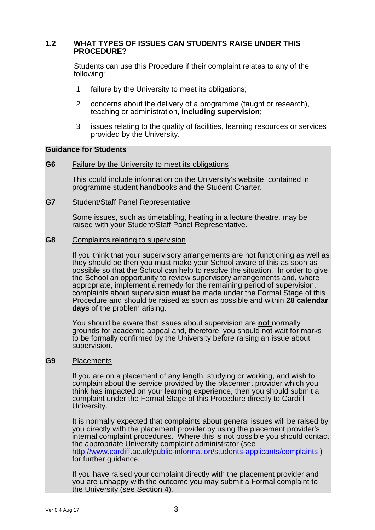#### **1.2 WHAT TYPES OF ISSUES CAN STUDENTS RAISE UNDER THIS PROCEDURE?**

Students can use this Procedure if their complaint relates to any of the following:

- .1 failure by the University to meet its obligations;
- .2 concerns about the delivery of a programme (taught or research), teaching or administration, **including supervision**;
- .3 issues relating to the quality of facilities, learning resources or services provided by the University.

#### **Guidance for Students**

**G6** Failure by the University to meet its obligations

This could include information on the University's website, contained in programme student handbooks and the Student Charter.

#### **G7** Student/Staff Panel Representative

 Some issues, such as timetabling, heating in a lecture theatre, may be raised with your Student/Staff Panel Representative.

#### **G8** Complaints relating to supervision

 If you think that your supervisory arrangements are not functioning as well as they should be then you must make your School aware of this as soon as possible so that the School can help to resolve the situation. In order to give the School an opportunity to review supervisory arrangements and, where appropriate, implement a remedy for the remaining period of supervision, complaints about supervision **must** be made under the Formal Stage of this Procedure and should be raised as soon as possible and within **28 calendar days** of the problem arising.

 You should be aware that issues about supervision are **not** normally grounds for academic appeal and, therefore, you should not wait for marks to be formally confirmed by the University before raising an issue about supervision.

#### **G9** Placements

 If you are on a placement of any length, studying or working, and wish to complain about the service provided by the placement provider which you think has impacted on your learning experience, then you should submit a complaint under the Formal Stage of this Procedure directly to Cardiff University.

 It is normally expected that complaints about general issues will be raised by you directly with the placement provider by using the placement provider's internal complaint procedures. Where this is not possible you should contact the appropriate University complaint administrator (see http://www.cardiff.ac.uk/public-information/students-applicants/complaints ) for further guidance.

 If you have raised your complaint directly with the placement provider and you are unhappy with the outcome you may submit a Formal complaint to the University (see Section 4).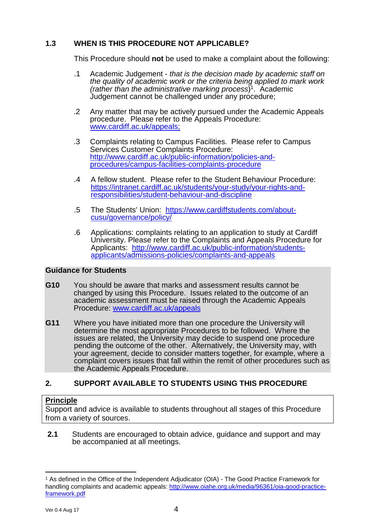# **1.3 WHEN IS THIS PROCEDURE NOT APPLICABLE?**

This Procedure should **not** be used to make a complaint about the following:

- .1 Academic Judgement that is the decision made by academic staff on the quality of academic work or the criteria being applied to mark work (rather than the administrative marking process)<sup>1</sup>. Academic Judgement cannot be challenged under any procedure;
- .2 Any matter that may be actively pursued under the Academic Appeals procedure. Please refer to the Appeals Procedure: www.cardiff.ac.uk/appeals;
- .3 Complaints relating to Campus Facilities. Please refer to Campus Services Customer Complaints Procedure: http://www.cardiff.ac.uk/public-information/policies-andprocedures/campus-facilities-complaints-procedure
- .4 A fellow student. Please refer to the Student Behaviour Procedure: https://intranet.cardiff.ac.uk/students/your-study/your-rights-andresponsibilities/student-behaviour-and-discipline
- .5 The Students' Union: https://www.cardiffstudents.com/aboutcusu/governance/policy/
- .6 Applications: complaints relating to an application to study at Cardiff University. Please refer to the Complaints and Appeals Procedure for Applicants: http://www.cardiff.ac.uk/public-information/studentsapplicants/admissions-policies/complaints-and-appeals

# **Guidance for Students**

- **G10** You should be aware that marks and assessment results cannot be changed by using this Procedure. Issues related to the outcome of an academic assessment must be raised through the Academic Appeals Procedure: www.cardiff.ac.uk/appeals
- **G11** Where you have initiated more than one procedure the University will determine the most appropriate Procedures to be followed. Where the issues are related, the University may decide to suspend one procedure pending the outcome of the other. Alternatively, the University may, with your agreement, decide to consider matters together, for example, where a complaint covers issues that fall within the remit of other procedures such as the Academic Appeals Procedure.

# **2. SUPPORT AVAILABLE TO STUDENTS USING THIS PROCEDURE**

# **Principle**

Support and advice is available to students throughout all stages of this Procedure from a variety of sources.

**2.1** Students are encouraged to obtain advice, guidance and support and may be accompanied at all meetings.

 $\overline{a}$ 1 As defined in the Office of the Independent Adjudicator (OIA) - The Good Practice Framework for handling complaints and academic appeals: http://www.oiahe.org.uk/media/96361/oia-good-practiceframework.pdf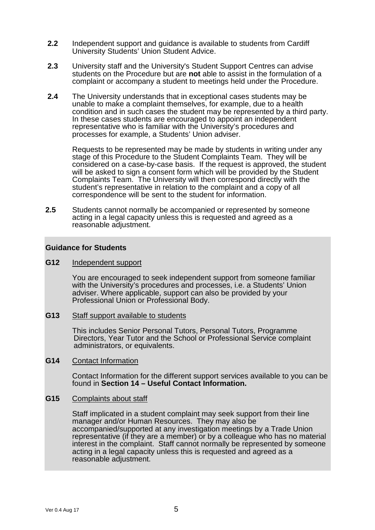- **2.2** Independent support and guidance is available to students from Cardiff University Students' Union Student Advice.
- **2.3** University staff and the University's Student Support Centres can advise students on the Procedure but are **not** able to assist in the formulation of a complaint or accompany a student to meetings held under the Procedure.
- **2.4** The University understands that in exceptional cases students may be unable to make a complaint themselves, for example, due to a health condition and in such cases the student may be represented by a third party. In these cases students are encouraged to appoint an independent representative who is familiar with the University's procedures and processes for example, a Students' Union adviser.

Requests to be represented may be made by students in writing under any stage of this Procedure to the Student Complaints Team. They will be considered on a case-by-case basis. If the request is approved, the student will be asked to sign a consent form which will be provided by the Student Complaints Team. The University will then correspond directly with the student's representative in relation to the complaint and a copy of all correspondence will be sent to the student for information.

**2.5** Students cannot normally be accompanied or represented by someone acting in a legal capacity unless this is requested and agreed as a reasonable adjustment.

#### **Guidance for Students**

#### **G12** Independent support

 You are encouraged to seek independent support from someone familiar with the University's procedures and processes, i.e. a Students' Union adviser. Where applicable, support can also be provided by your Professional Union or Professional Body.

#### **G13** Staff support available to students

 This includes Senior Personal Tutors, Personal Tutors, Programme Directors, Year Tutor and the School or Professional Service complaint administrators, or equivalents.

#### **G14** Contact Information

 Contact Information for the different support services available to you can be found in **Section 14 – Useful Contact Information.**

#### **G15** Complaints about staff

 Staff implicated in a student complaint may seek support from their line manager and/or Human Resources. They may also be accompanied/supported at any investigation meetings by a Trade Union representative (if they are a member) or by a colleague who has no material interest in the complaint. Staff cannot normally be represented by someone acting in a legal capacity unless this is requested and agreed as a reasonable adjustment.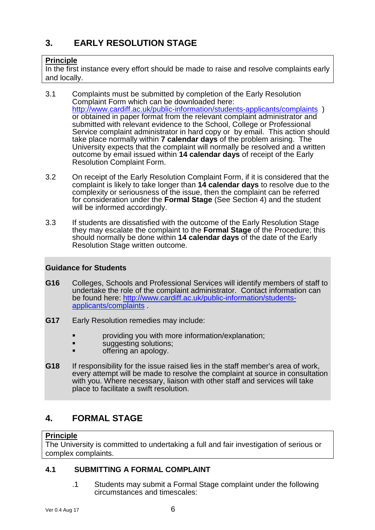# **3. EARLY RESOLUTION STAGE**

# **Principle**

In the first instance every effort should be made to raise and resolve complaints early and locally.

- 3.1 Complaints must be submitted by completion of the Early Resolution Complaint Form which can be downloaded here: http://www.cardiff.ac.uk/public-information/students-applicants/complaints ) or obtained in paper format from the relevant complaint administrator and submitted with relevant evidence to the School, College or Professional Service complaint administrator in hard copy or by email. This action should take place normally within **7 calendar days** of the problem arising. The University expects that the complaint will normally be resolved and a written outcome by email issued within **14 calendar days** of receipt of the Early Resolution Complaint Form.
- 3.2 On receipt of the Early Resolution Complaint Form, if it is considered that the complaint is likely to take longer than **14 calendar days** to resolve due to the complexity or seriousness of the issue, then the complaint can be referred for consideration under the **Formal Stage** (See Section 4) and the student will be informed accordingly.
- 3.3 If students are dissatisfied with the outcome of the Early Resolution Stage they may escalate the complaint to the **Formal Stage** of the Procedure; this should normally be done within **14 calendar days** of the date of the Early Resolution Stage written outcome.

# **Guidance for Students**

- **G16** Colleges, Schools and Professional Services will identify members of staff to undertake the role of the complaint administrator. Contact information can be found here: http://www.cardiff.ac.uk/public-information/studentsapplicants/complaints .
- **G17** Early Resolution remedies may include:
	- providing you with more information/explanation;
	- **suggesting solutions;**
	- offering an apology.
- **G18** If responsibility for the issue raised lies in the staff member's area of work, every attempt will be made to resolve the complaint at source in consultation with you. Where necessary, liaison with other staff and services will take place to facilitate a swift resolution.

# **4. FORMAL STAGE**

# **Principle**

The University is committed to undertaking a full and fair investigation of serious or complex complaints.

# **4.1 SUBMITTING A FORMAL COMPLAINT**

.1 Students may submit a Formal Stage complaint under the following circumstances and timescales: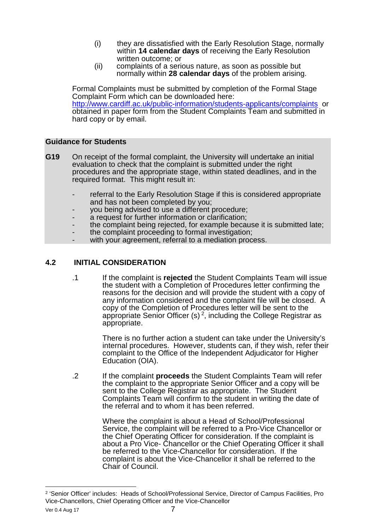- (i) they are dissatisfied with the Early Resolution Stage, normally within **14 calendar days** of receiving the Early Resolution written outcome; or
- (ii) complaints of a serious nature, as soon as possible but normally within **28 calendar days** of the problem arising.

Formal Complaints must be submitted by completion of the Formal Stage Complaint Form which can be downloaded here: http://www.cardiff.ac.uk/public-information/students-applicants/complaints or obtained in paper form from the Student Complaints Team and submitted in hard copy or by email.

# **Guidance for Students**

- **G19** On receipt of the formal complaint, the University will undertake an initial evaluation to check that the complaint is submitted under the right procedures and the appropriate stage, within stated deadlines, and in the required format. This might result in:
	- referral to the Early Resolution Stage if this is considered appropriate and has not been completed by you;
	- you being advised to use a different procedure;
	- a request for further information or clarification:
	- the complaint being rejected, for example because it is submitted late;
	- the complaint proceeding to formal investigation;
	- with your agreement, referral to a mediation process.

# **4.2 INITIAL CONSIDERATION**

.1 If the complaint is **rejected** the Student Complaints Team will issue the student with a Completion of Procedures letter confirming the reasons for the decision and will provide the student with a copy of any information considered and the complaint file will be closed. A copy of the Completion of Procedures letter will be sent to the appropriate Senior Officer (s)<sup>2</sup>, including the College Registrar as appropriate.

> There is no further action a student can take under the University's internal procedures. However, students can, if they wish, refer their complaint to the Office of the Independent Adjudicator for Higher Education (OIA).

.2 If the complaint **proceeds** the Student Complaints Team will refer the complaint to the appropriate Senior Officer and a copy will be sent to the College Registrar as appropriate. The Student Complaints Team will confirm to the student in writing the date of the referral and to whom it has been referred.

> Where the complaint is about a Head of School/Professional Service, the complaint will be referred to a Pro-Vice Chancellor or the Chief Operating Officer for consideration. If the complaint is about a Pro Vice- Chancellor or the Chief Operating Officer it shall be referred to the Vice-Chancellor for consideration. If the complaint is about the Vice-Chancellor it shall be referred to the Chair of Council.

 $\overline{a}$ 

<sup>&</sup>lt;sup>2</sup> 'Senior Officer' includes: Heads of School/Professional Service, Director of Campus Facilities, Pro Vice-Chancellors, Chief Operating Officer and the Vice-Chancellor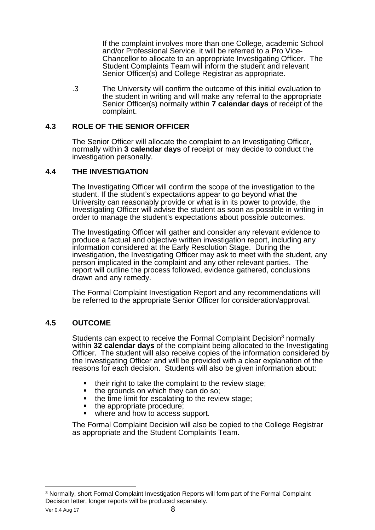If the complaint involves more than one College, academic School and/or Professional Service, it will be referred to a Pro Vice-Chancellor to allocate to an appropriate Investigating Officer. The Student Complaints Team will inform the student and relevant Senior Officer(s) and College Registrar as appropriate.

.3 The University will confirm the outcome of this initial evaluation to the student in writing and will make any referral to the appropriate Senior Officer(s) normally within **7 calendar days** of receipt of the complaint.

# **4.3 ROLE OF THE SENIOR OFFICER**

 The Senior Officer will allocate the complaint to an Investigating Officer, normally within **3 calendar days** of receipt or may decide to conduct the investigation personally.

# **4.4 THE INVESTIGATION**

The Investigating Officer will confirm the scope of the investigation to the student. If the student's expectations appear to go beyond what the University can reasonably provide or what is in its power to provide, the Investigating Officer will advise the student as soon as possible in writing in order to manage the student's expectations about possible outcomes.

The Investigating Officer will gather and consider any relevant evidence to produce a factual and objective written investigation report, including any information considered at the Early Resolution Stage. During the investigation, the Investigating Officer may ask to meet with the student, any person implicated in the complaint and any other relevant parties. The report will outline the process followed, evidence gathered, conclusions drawn and any remedy.

The Formal Complaint Investigation Report and any recommendations will be referred to the appropriate Senior Officer for consideration/approval.

# **4.5 OUTCOME**

Students can expect to receive the Formal Complaint Decision<sup>3</sup> normally within **32 calendar days** of the complaint being allocated to the Investigating Officer. The student will also receive copies of the information considered by the Investigating Officer and will be provided with a clear explanation of the reasons for each decision. Students will also be given information about:

- $\blacksquare$  their right to take the complaint to the review stage;
- the grounds on which they can do so;
- $\blacksquare$  the time limit for escalating to the review stage;
- the appropriate procedure;
- where and how to access support.

The Formal Complaint Decision will also be copied to the College Registrar as appropriate and the Student Complaints Team.

 $\overline{a}$ 

 $3$  Normally, short Formal Complaint Investigation Reports will form part of the Formal Complaint Decision letter, longer reports will be produced separately.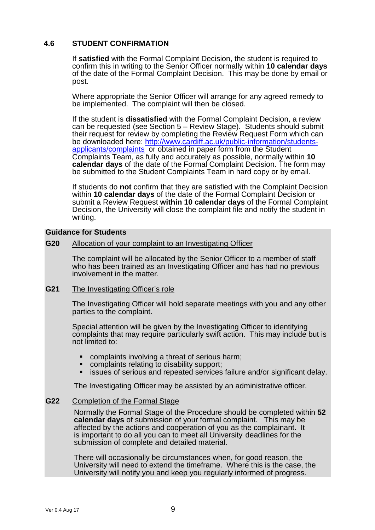# **4.6 STUDENT CONFIRMATION**

If **satisfied** with the Formal Complaint Decision, the student is required to confirm this in writing to the Senior Officer normally within **10 calendar days**  of the date of the Formal Complaint Decision. This may be done by email or post.

Where appropriate the Senior Officer will arrange for any agreed remedy to be implemented. The complaint will then be closed.

If the student is **dissatisfied** with the Formal Complaint Decision, a review can be requested (see Section 5 – Review Stage). Students should submit their request for review by completing the Review Request Form which can be downloaded here: http://www.cardiff.ac.uk/public-information/studentsapplicants/complaints or obtained in paper form from the Student Complaints Team, as fully and accurately as possible, normally within **10 calendar days** of the date of the Formal Complaint Decision. The form may be submitted to the Student Complaints Team in hard copy or by email.

If students do **not** confirm that they are satisfied with the Complaint Decision within **10 calendar days** of the date of the Formal Complaint Decision or submit a Review Request **within 10 calendar days** of the Formal Complaint Decision, the University will close the complaint file and notify the student in writing.

## **Guidance for Students**

#### **G20** Allocation of your complaint to an Investigating Officer

The complaint will be allocated by the Senior Officer to a member of staff who has been trained as an Investigating Officer and has had no previous involvement in the matter.

#### **G21** The Investigating Officer's role

The Investigating Officer will hold separate meetings with you and any other parties to the complaint.

 Special attention will be given by the Investigating Officer to identifying complaints that may require particularly swift action. This may include but is not limited to:

- complaints involving a threat of serious harm;
- **complaints relating to disability support;**
- **EXECTS ISSUES OF SERIOUS AND REPEATED SERVICES FAIlURE AND READ FIGURE 15 ISSUES** SERIOUS.

The Investigating Officer may be assisted by an administrative officer.

#### **G22** Completion of the Formal Stage

 Normally the Formal Stage of the Procedure should be completed within **52 calendar days** of submission of your formal complaint. This may be affected by the actions and cooperation of you as the complainant. It is important to do all you can to meet all University deadlines for the submission of complete and detailed material.

 There will occasionally be circumstances when, for good reason, the University will need to extend the timeframe. Where this is the case, the University will notify you and keep you regularly informed of progress.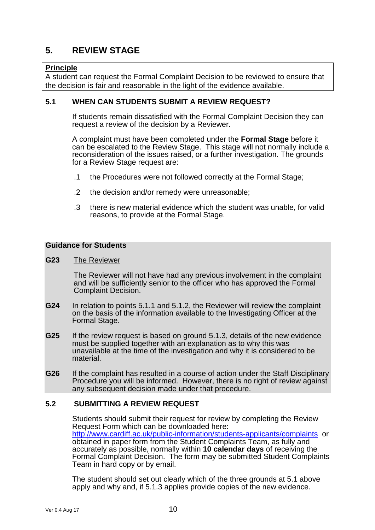# **5. REVIEW STAGE**

## **Principle**

A student can request the Formal Complaint Decision to be reviewed to ensure that the decision is fair and reasonable in the light of the evidence available.

## **5.1 WHEN CAN STUDENTS SUBMIT A REVIEW REQUEST?**

If students remain dissatisfied with the Formal Complaint Decision they can request a review of the decision by a Reviewer.

A complaint must have been completed under the **Formal Stage** before it can be escalated to the Review Stage. This stage will not normally include a reconsideration of the issues raised, or a further investigation. The grounds for a Review Stage request are:

- .1 the Procedures were not followed correctly at the Formal Stage;
- .2 the decision and/or remedy were unreasonable;
- .3 there is new material evidence which the student was unable, for valid reasons, to provide at the Formal Stage.

# **Guidance for Students**

#### **G23** The Reviewer

 The Reviewer will not have had any previous involvement in the complaint and will be sufficiently senior to the officer who has approved the Formal Complaint Decision.

- **G24** In relation to points 5.1.1 and 5.1.2, the Reviewer will review the complaint on the basis of the information available to the Investigating Officer at the Formal Stage.
- **G25** If the review request is based on ground 5.1.3, details of the new evidence must be supplied together with an explanation as to why this was unavailable at the time of the investigation and why it is considered to be material.
- **G26** If the complaint has resulted in a course of action under the Staff Disciplinary Procedure you will be informed. However, there is no right of review against any subsequent decision made under that procedure.

#### **5.2 SUBMITTING A REVIEW REQUEST**

Students should submit their request for review by completing the Review Request Form which can be downloaded here: http://www.cardiff.ac.uk/public-information/students-applicants/complaints or obtained in paper form from the Student Complaints Team, as fully and accurately as possible, normally within **10 calendar days** of receiving the Formal Complaint Decision. The form may be submitted Student Complaints Team in hard copy or by email.

The student should set out clearly which of the three grounds at 5.1 above apply and why and, if 5.1.3 applies provide copies of the new evidence.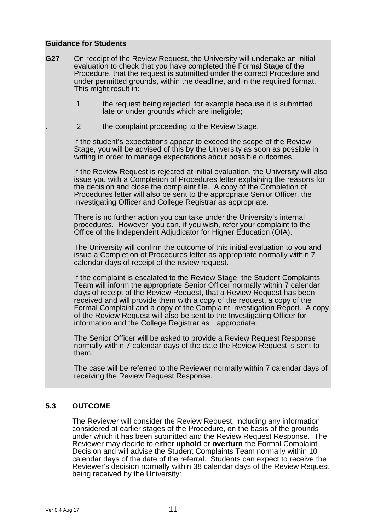#### **Guidance for Students**

- **G27** On receipt of the Review Request, the University will undertake an initial evaluation to check that you have completed the Formal Stage of the Procedure, that the request is submitted under the correct Procedure and under permitted grounds, within the deadline, and in the required format. This might result in:
	- .1 the request being rejected, for example because it is submitted late or under grounds which are ineligible;
	- 2 the complaint proceeding to the Review Stage.

If the student's expectations appear to exceed the scope of the Review Stage, you will be advised of this by the University as soon as possible in writing in order to manage expectations about possible outcomes.

 If the Review Request is rejected at initial evaluation, the University will also issue you with a Completion of Procedures letter explaining the reasons for the decision and close the complaint file. A copy of the Completion of Procedures letter will also be sent to the appropriate Senior Officer, the Investigating Officer and College Registrar as appropriate.

 There is no further action you can take under the University's internal procedures. However, you can, if you wish, refer your complaint to the Office of the Independent Adjudicator for Higher Education (OIA).

 The University will confirm the outcome of this initial evaluation to you and issue a Completion of Procedures letter as appropriate normally within 7 calendar days of receipt of the review request.

 If the complaint is escalated to the Review Stage, the Student Complaints Team will inform the appropriate Senior Officer normally within 7 calendar days of receipt of the Review Request, that a Review Request has been received and will provide them with a copy of the request, a copy of the Formal Complaint and a copy of the Complaint Investigation Report. A copy of the Review Request will also be sent to the Investigating Officer for information and the College Registrar as appropriate.

 The Senior Officer will be asked to provide a Review Request Response normally within 7 calendar days of the date the Review Request is sent to them.

 The case will be referred to the Reviewer normally within 7 calendar days of receiving the Review Request Response.

#### **5.3 OUTCOME**

The Reviewer will consider the Review Request, including any information considered at earlier stages of the Procedure, on the basis of the grounds under which it has been submitted and the Review Request Response. The Reviewer may decide to either **uphold** or **overturn** the Formal Complaint Decision and will advise the Student Complaints Team normally within 10 calendar days of the date of the referral. Students can expect to receive the Reviewer's decision normally within 38 calendar days of the Review Request being received by the University: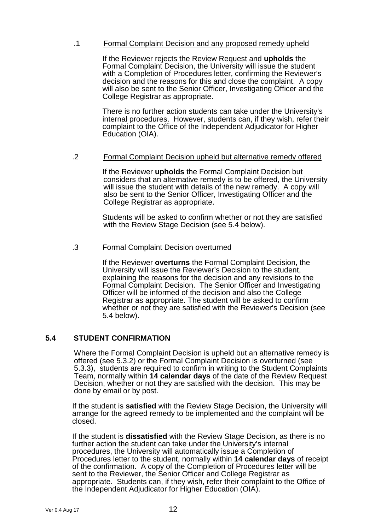## .1 Formal Complaint Decision and any proposed remedy upheld

If the Reviewer rejects the Review Request and **upholds** the Formal Complaint Decision, the University will issue the student with a Completion of Procedures letter, confirming the Reviewer's decision and the reasons for this and close the complaint. A copy will also be sent to the Senior Officer, Investigating Officer and the College Registrar as appropriate.

There is no further action students can take under the University's internal procedures. However, students can, if they wish, refer their complaint to the Office of the Independent Adjudicator for Higher Education (OIA).

## .2 Formal Complaint Decision upheld but alternative remedy offered

If the Reviewer **upholds** the Formal Complaint Decision but considers that an alternative remedy is to be offered, the University will issue the student with details of the new remedy. A copy will also be sent to the Senior Officer, Investigating Officer and the College Registrar as appropriate.

Students will be asked to confirm whether or not they are satisfied with the Review Stage Decision (see 5.4 below).

#### .3 Formal Complaint Decision overturned

If the Reviewer **overturns** the Formal Complaint Decision, the University will issue the Reviewer's Decision to the student, explaining the reasons for the decision and any revisions to the Formal Complaint Decision. The Senior Officer and Investigating Officer will be informed of the decision and also the College Registrar as appropriate. The student will be asked to confirm whether or not they are satisfied with the Reviewer's Decision (see 5.4 below).

# **5.4 STUDENT CONFIRMATION**

Where the Formal Complaint Decision is upheld but an alternative remedy is offered (see 5.3.2) or the Formal Complaint Decision is overturned (see 5.3.3), students are required to confirm in writing to the Student Complaints Team, normally within **14 calendar days** of the date of the Review Request Decision, whether or not they are satisfied with the decision. This may be done by email or by post.

If the student is **satisfied** with the Review Stage Decision, the University will arrange for the agreed remedy to be implemented and the complaint will be closed.

If the student is **dissatisfied** with the Review Stage Decision, as there is no further action the student can take under the University's internal procedures, the University will automatically issue a Completion of Procedures letter to the student, normally within **14 calendar days** of receipt of the confirmation. A copy of the Completion of Procedures letter will be sent to the Reviewer, the Senior Officer and College Registrar as appropriate. Students can, if they wish, refer their complaint to the Office of the Independent Adjudicator for Higher Education (OIA).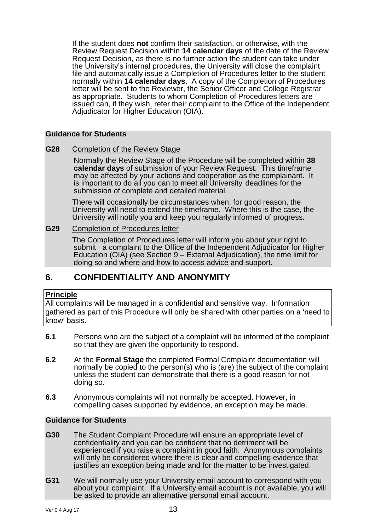If the student does **not** confirm their satisfaction, or otherwise, with the Review Request Decision within **14 calendar days** of the date of the Review Request Decision, as there is no further action the student can take under the University's internal procedures, the University will close the complaint file and automatically issue a Completion of Procedures letter to the student normally within **14 calendar days**. A copy of the Completion of Procedures letter will be sent to the Reviewer, the Senior Officer and College Registrar as appropriate. Students to whom Completion of Procedures letters are issued can, if they wish, refer their complaint to the Office of the Independent Adjudicator for Higher Education (OIA).

## **Guidance for Students**

**G28** Completion of the Review Stage

 Normally the Review Stage of the Procedure will be completed within **38 calendar days** of submission of your Review Request. This timeframe may be affected by your actions and cooperation as the complainant. It is important to do all you can to meet all University deadlines for the submission of complete and detailed material.

 There will occasionally be circumstances when, for good reason, the University will need to extend the timeframe. Where this is the case, the University will notify you and keep you regularly informed of progress.

# **G29** Completion of Procedures letter

 The Completion of Procedures letter will inform you about your right to submit a complaint to the Office of the Independent Adjudicator for Higher Education (OIA) (see Section 9 – External Adjudication), the time limit for doing so and where and how to access advice and support.

# **6. CONFIDENTIALITY AND ANONYMITY**

# **Principle**

All complaints will be managed in a confidential and sensitive way. Information gathered as part of this Procedure will only be shared with other parties on a 'need to know' basis.

- **6.1** Persons who are the subject of a complaint will be informed of the complaint so that they are given the opportunity to respond.
- **6.2** At the **Formal Stage** the completed Formal Complaint documentation will normally be copied to the person(s) who is (are) the subject of the complaint unless the student can demonstrate that there is a good reason for not doing so.
- **6.3** Anonymous complaints will not normally be accepted. However, in compelling cases supported by evidence, an exception may be made.

#### **Guidance for Students**

- **G30** The Student Complaint Procedure will ensure an appropriate level of confidentiality and you can be confident that no detriment will be experienced if you raise a complaint in good faith. Anonymous complaints will only be considered where there is clear and compelling evidence that justifies an exception being made and for the matter to be investigated.
- **G31** We will normally use your University email account to correspond with you about your complaint. If a University email account is not available, you will be asked to provide an alternative personal email account.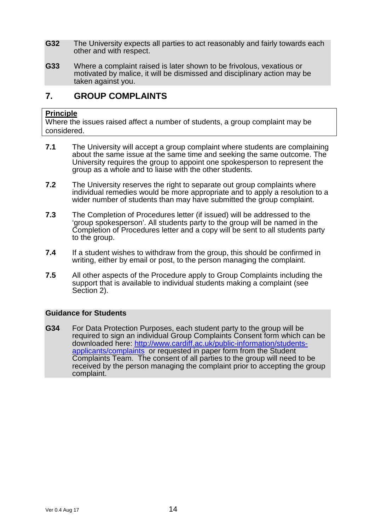- **G32** The University expects all parties to act reasonably and fairly towards each other and with respect.
- **G33** Where a complaint raised is later shown to be frivolous, vexatious or motivated by malice, it will be dismissed and disciplinary action may be taken against you.

# **7. GROUP COMPLAINTS**

## **Principle**

Where the issues raised affect a number of students, a group complaint may be considered.

- **7.1** The University will accept a group complaint where students are complaining about the same issue at the same time and seeking the same outcome. The University requires the group to appoint one spokesperson to represent the group as a whole and to liaise with the other students.
- **7.2** The University reserves the right to separate out group complaints where individual remedies would be more appropriate and to apply a resolution to a wider number of students than may have submitted the group complaint.
- **7.3** The Completion of Procedures letter (if issued) will be addressed to the 'group spokesperson'. All students party to the group will be named in the Completion of Procedures letter and a copy will be sent to all students party to the group.
- **7.4** If a student wishes to withdraw from the group, this should be confirmed in writing, either by email or post, to the person managing the complaint.
- **7.5** All other aspects of the Procedure apply to Group Complaints including the support that is available to individual students making a complaint (see Section 2).

# **Guidance for Students**

**G34** For Data Protection Purposes, each student party to the group will be required to sign an individual Group Complaints Consent form which can be downloaded here: http://www.cardiff.ac.uk/public-information/studentsapplicants/complaints or requested in paper form from the Student Complaints Team. The consent of all parties to the group will need to be received by the person managing the complaint prior to accepting the group complaint.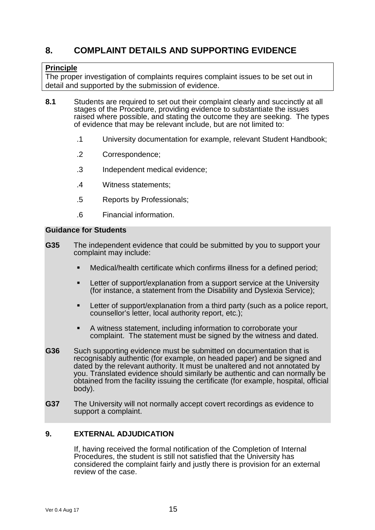# **8. COMPLAINT DETAILS AND SUPPORTING EVIDENCE**

# **Principle**

The proper investigation of complaints requires complaint issues to be set out in detail and supported by the submission of evidence.

- **8.1** Students are required to set out their complaint clearly and succinctly at all stages of the Procedure, providing evidence to substantiate the issues raised where possible, and stating the outcome they are seeking. The types of evidence that may be relevant include, but are not limited to:
	- .1 University documentation for example, relevant Student Handbook;
	- .2 Correspondence;
	- .3 Independent medical evidence;
	- .4 Witness statements;
	- .5 Reports by Professionals;
	- .6 Financial information.

## **Guidance for Students**

- **G35** The independent evidence that could be submitted by you to support your complaint may include:
	- Medical/health certificate which confirms illness for a defined period;
	- Letter of support/explanation from a support service at the University (for instance, a statement from the Disability and Dyslexia Service);
	- **EXTER** Letter of support/explanation from a third party (such as a police report, counsellor's letter, local authority report, etc.);
	- A witness statement, including information to corroborate your complaint. The statement must be signed by the witness and dated.
- **G36** Such supporting evidence must be submitted on documentation that is recognisably authentic (for example, on headed paper) and be signed and dated by the relevant authority. It must be unaltered and not annotated by you. Translated evidence should similarly be authentic and can normally be obtained from the facility issuing the certificate (for example, hospital, official body).
- **G37** The University will not normally accept covert recordings as evidence to support a complaint.

# **9. EXTERNAL ADJUDICATION**

If, having received the formal notification of the Completion of Internal Procedures, the student is still not satisfied that the University has considered the complaint fairly and justly there is provision for an external review of the case.